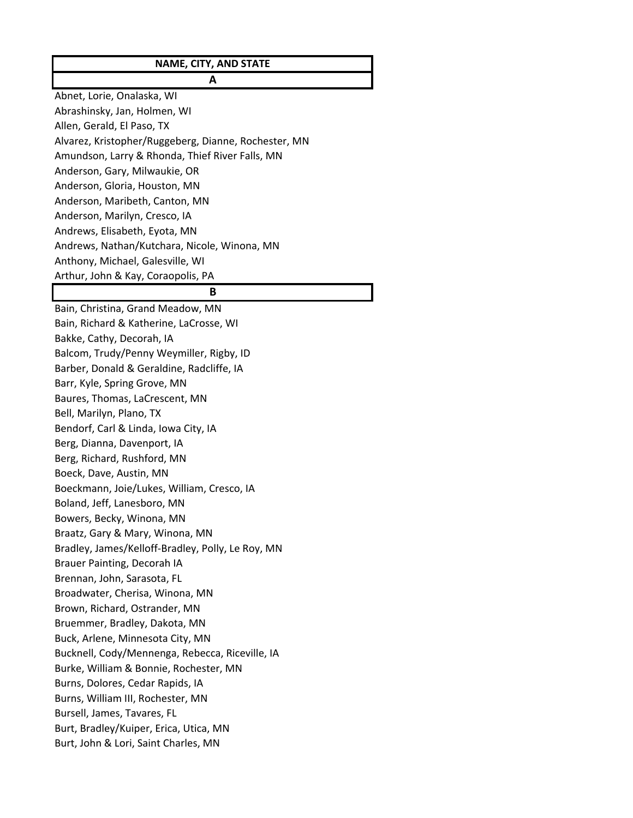# **NAME, CITY, AND STATE A**

Abnet, Lorie, Onalaska, WI Abrashinsky, Jan, Holmen, WI Allen, Gerald, El Paso, TX Alvarez, Kristopher/Ruggeberg, Dianne, Rochester, MN Amundson, Larry & Rhonda, Thief River Falls, MN Anderson, Gary, Milwaukie, OR Anderson, Gloria, Houston, MN Anderson, Maribeth, Canton, MN Anderson, Marilyn, Cresco, IA Andrews, Elisabeth, Eyota, MN Andrews, Nathan/Kutchara, Nicole, Winona, MN Anthony, Michael, Galesville, WI Arthur, John & Kay, Coraopolis, PA

## **B**

Bain, Christina, Grand Meadow, MN Bain, Richard & Katherine, LaCrosse, WI Bakke, Cathy, Decorah, IA Balcom, Trudy/Penny Weymiller, Rigby, ID Barber, Donald & Geraldine, Radcliffe, IA Barr, Kyle, Spring Grove, MN Baures, Thomas, LaCrescent, MN Bell, Marilyn, Plano, TX Bendorf, Carl & Linda, Iowa City, IA Berg, Dianna, Davenport, IA Berg, Richard, Rushford, MN Boeck, Dave, Austin, MN Boeckmann, Joie/Lukes, William, Cresco, IA Boland, Jeff, Lanesboro, MN Bowers, Becky, Winona, MN Braatz, Gary & Mary, Winona, MN Bradley, James/Kelloff‐Bradley, Polly, Le Roy, MN Brauer Painting, Decorah IA Brennan, John, Sarasota, FL Broadwater, Cherisa, Winona, MN Brown, Richard, Ostrander, MN Bruemmer, Bradley, Dakota, MN Buck, Arlene, Minnesota City, MN Bucknell, Cody/Mennenga, Rebecca, Riceville, IA Burke, William & Bonnie, Rochester, MN Burns, Dolores, Cedar Rapids, IA Burns, William III, Rochester, MN Bursell, James, Tavares, FL Burt, Bradley/Kuiper, Erica, Utica, MN Burt, John & Lori, Saint Charles, MN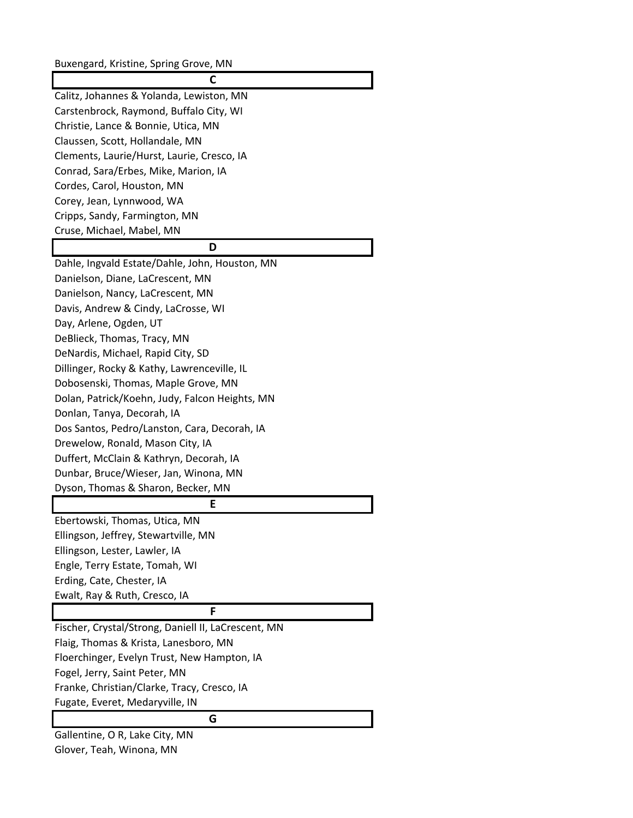Buxengard, Kristine, Spring Grove, MN

**C** Calitz, Johannes & Yolanda, Lewiston, MN Carstenbrock, Raymond, Buffalo City, WI Christie, Lance & Bonnie, Utica, MN Claussen, Scott, Hollandale, MN Clements, Laurie/Hurst, Laurie, Cresco, IA Conrad, Sara/Erbes, Mike, Marion, IA Cordes, Carol, Houston, MN Corey, Jean, Lynnwood, WA Cripps, Sandy, Farmington, MN Cruse, Michael, Mabel, MN

### **D**

Dahle, Ingvald Estate/Dahle, John, Houston, MN Danielson, Diane, LaCrescent, MN Danielson, Nancy, LaCrescent, MN Davis, Andrew & Cindy, LaCrosse, WI Day, Arlene, Ogden, UT DeBlieck, Thomas, Tracy, MN DeNardis, Michael, Rapid City, SD Dillinger, Rocky & Kathy, Lawrenceville, IL Dobosenski, Thomas, Maple Grove, MN Dolan, Patrick/Koehn, Judy, Falcon Heights, MN Donlan, Tanya, Decorah, IA Dos Santos, Pedro/Lanston, Cara, Decorah, IA Drewelow, Ronald, Mason City, IA Duffert, McClain & Kathryn, Decorah, IA Dunbar, Bruce/Wieser, Jan, Winona, MN Dyson, Thomas & Sharon, Becker, MN **E** Ebertowski, Thomas, Utica, MN Ellingson, Jeffrey, Stewartville, MN

Ellingson, Lester, Lawler, IA Engle, Terry Estate, Tomah, WI Erding, Cate, Chester, IA Ewalt, Ray & Ruth, Cresco, IA

## **F**

Fischer, Crystal/Strong, Daniell II, LaCrescent, MN Flaig, Thomas & Krista, Lanesboro, MN Floerchinger, Evelyn Trust, New Hampton, IA Fogel, Jerry, Saint Peter, MN Franke, Christian/Clarke, Tracy, Cresco, IA Fugate, Everet, Medaryville, IN

### **G**

Gallentine, O R, Lake City, MN Glover, Teah, Winona, MN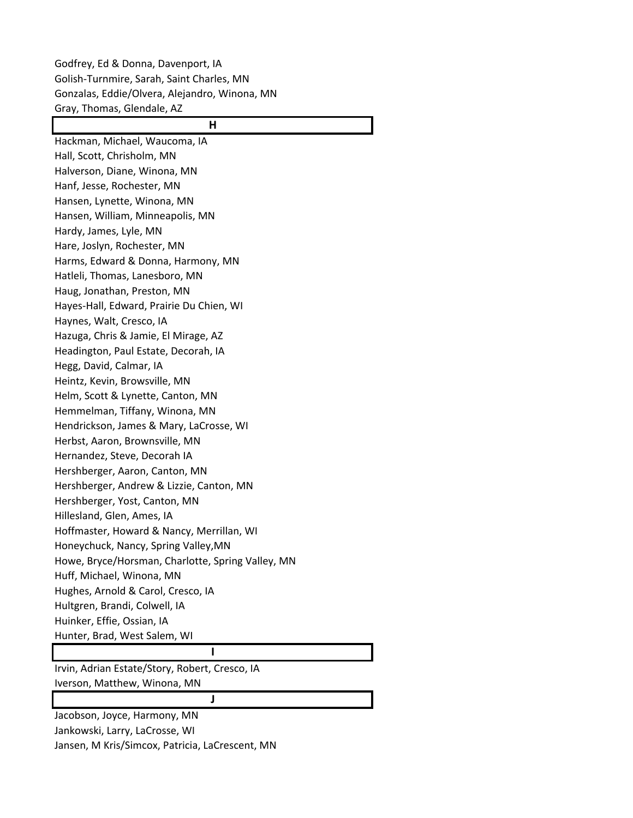Godfrey, Ed & Donna, Davenport, IA Golish‐Turnmire, Sarah, Saint Charles, MN Gonzalas, Eddie/Olvera, Alejandro, Winona, MN Gray, Thomas, Glendale, AZ

# **H**

Hackman, Michael, Waucoma, IA Hall, Scott, Chrisholm, MN Halverson, Diane, Winona, MN Hanf, Jesse, Rochester, MN Hansen, Lynette, Winona, MN Hansen, William, Minneapolis, MN Hardy, James, Lyle, MN Hare, Joslyn, Rochester, MN Harms, Edward & Donna, Harmony, MN Hatleli, Thomas, Lanesboro, MN Haug, Jonathan, Preston, MN Hayes‐Hall, Edward, Prairie Du Chien, WI Haynes, Walt, Cresco, IA Hazuga, Chris & Jamie, El Mirage, AZ Headington, Paul Estate, Decorah, IA Hegg, David, Calmar, IA Heintz, Kevin, Browsville, MN Helm, Scott & Lynette, Canton, MN Hemmelman, Tiffany, Winona, MN Hendrickson, James & Mary, LaCrosse, WI Herbst, Aaron, Brownsville, MN Hernandez, Steve, Decorah IA Hershberger, Aaron, Canton, MN Hershberger, Andrew & Lizzie, Canton, MN Hershberger, Yost, Canton, MN Hillesland, Glen, Ames, IA Hoffmaster, Howard & Nancy, Merrillan, WI Honeychuck, Nancy, Spring Valley,MN Howe, Bryce/Horsman, Charlotte, Spring Valley, MN Huff, Michael, Winona, MN Hughes, Arnold & Carol, Cresco, IA Hultgren, Brandi, Colwell, IA Huinker, Effie, Ossian, IA Hunter, Brad, West Salem, WI **I**

Irvin, Adrian Estate/Story, Robert, Cresco, IA Iverson, Matthew, Winona, MN

### **J**

Jacobson, Joyce, Harmony, MN Jankowski, Larry, LaCrosse, WI Jansen, M Kris/Simcox, Patricia, LaCrescent, MN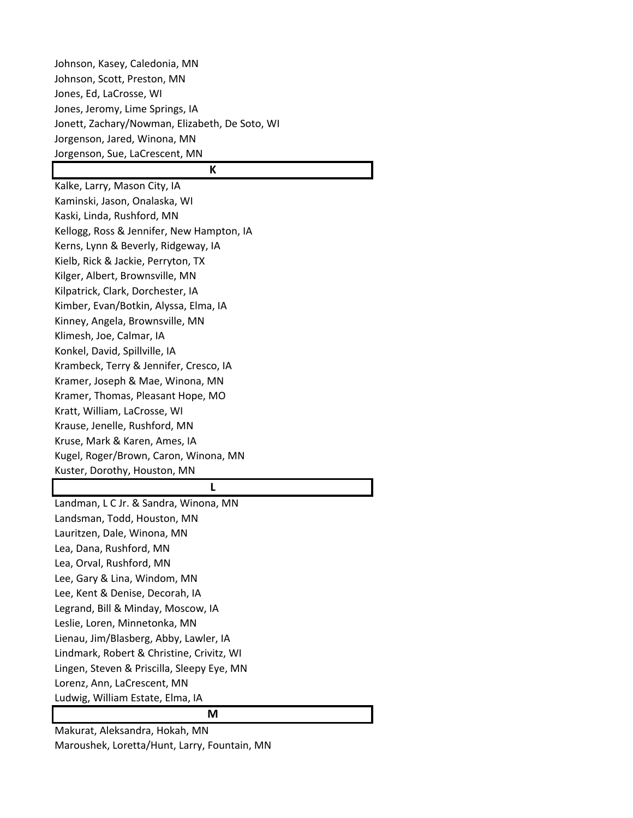Johnson, Kasey, Caledonia, MN Johnson, Scott, Preston, MN Jones, Ed, LaCrosse, WI Jones, Jeromy, Lime Springs, IA Jonett, Zachary/Nowman, Elizabeth, De Soto, WI Jorgenson, Jared, Winona, MN Jorgenson, Sue, LaCrescent, MN

# **K**

Kalke, Larry, Mason City, IA Kaminski, Jason, Onalaska, WI Kaski, Linda, Rushford, MN Kellogg, Ross & Jennifer, New Hampton, IA Kerns, Lynn & Beverly, Ridgeway, IA Kielb, Rick & Jackie, Perryton, TX Kilger, Albert, Brownsville, MN Kilpatrick, Clark, Dorchester, IA Kimber, Evan/Botkin, Alyssa, Elma, IA Kinney, Angela, Brownsville, MN Klimesh, Joe, Calmar, IA Konkel, David, Spillville, IA Krambeck, Terry & Jennifer, Cresco, IA Kramer, Joseph & Mae, Winona, MN Kramer, Thomas, Pleasant Hope, MO Kratt, William, LaCrosse, WI Krause, Jenelle, Rushford, MN Kruse, Mark & Karen, Ames, IA Kugel, Roger/Brown, Caron, Winona, MN Kuster, Dorothy, Houston, MN

#### **L**

Landman, L C Jr. & Sandra, Winona, MN Landsman, Todd, Houston, MN Lauritzen, Dale, Winona, MN Lea, Dana, Rushford, MN Lea, Orval, Rushford, MN Lee, Gary & Lina, Windom, MN Lee, Kent & Denise, Decorah, IA Legrand, Bill & Minday, Moscow, IA Leslie, Loren, Minnetonka, MN Lienau, Jim/Blasberg, Abby, Lawler, IA Lindmark, Robert & Christine, Crivitz, WI Lingen, Steven & Priscilla, Sleepy Eye, MN Lorenz, Ann, LaCrescent, MN Ludwig, William Estate, Elma, IA

# **M**

Makurat, Aleksandra, Hokah, MN Maroushek, Loretta/Hunt, Larry, Fountain, MN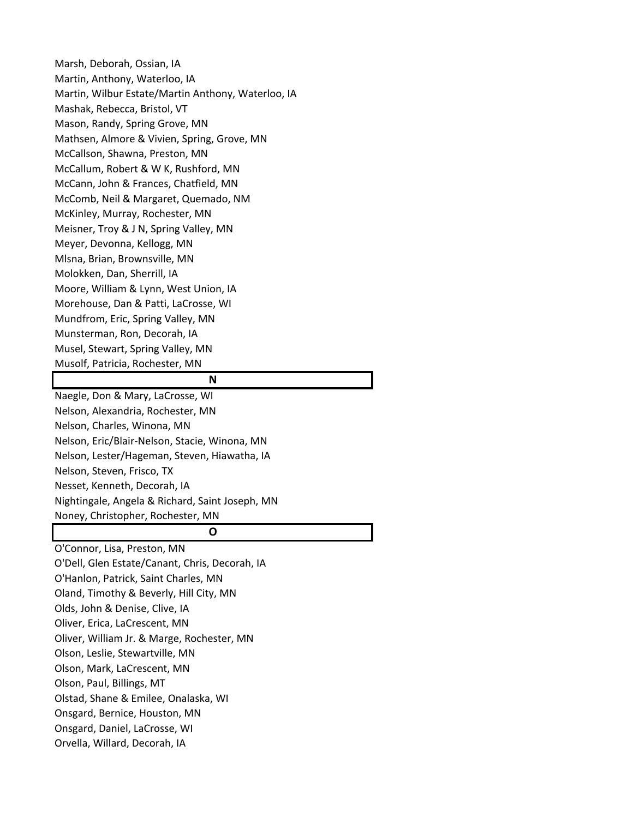Marsh, Deborah, Ossian, IA Martin, Anthony, Waterloo, IA Martin, Wilbur Estate/Martin Anthony, Waterloo, IA Mashak, Rebecca, Bristol, VT Mason, Randy, Spring Grove, MN Mathsen, Almore & Vivien, Spring, Grove, MN McCallson, Shawna, Preston, MN McCallum, Robert & W K, Rushford, MN McCann, John & Frances, Chatfield, MN McComb, Neil & Margaret, Quemado, NM McKinley, Murray, Rochester, MN Meisner, Troy & J N, Spring Valley, MN Meyer, Devonna, Kellogg, MN Mlsna, Brian, Brownsville, MN Molokken, Dan, Sherrill, IA Moore, William & Lynn, West Union, IA Morehouse, Dan & Patti, LaCrosse, WI Mundfrom, Eric, Spring Valley, MN Munsterman, Ron, Decorah, IA Musel, Stewart, Spring Valley, MN Musolf, Patricia, Rochester, MN **N** Naegle, Don & Mary, LaCrosse, WI Nelson, Alexandria, Rochester, MN Nelson, Charles, Winona, MN Nelson, Eric/Blair‐Nelson, Stacie, Winona, MN Nelson, Lester/Hageman, Steven, Hiawatha, IA Nelson, Steven, Frisco, TX

Nesset, Kenneth, Decorah, IA

Nightingale, Angela & Richard, Saint Joseph, MN

Noney, Christopher, Rochester, MN

# **O**

O'Connor, Lisa, Preston, MN O'Dell, Glen Estate/Canant, Chris, Decorah, IA O'Hanlon, Patrick, Saint Charles, MN Oland, Timothy & Beverly, Hill City, MN Olds, John & Denise, Clive, IA Oliver, Erica, LaCrescent, MN Oliver, William Jr. & Marge, Rochester, MN Olson, Leslie, Stewartville, MN Olson, Mark, LaCrescent, MN Olson, Paul, Billings, MT Olstad, Shane & Emilee, Onalaska, WI Onsgard, Bernice, Houston, MN Onsgard, Daniel, LaCrosse, WI Orvella, Willard, Decorah, IA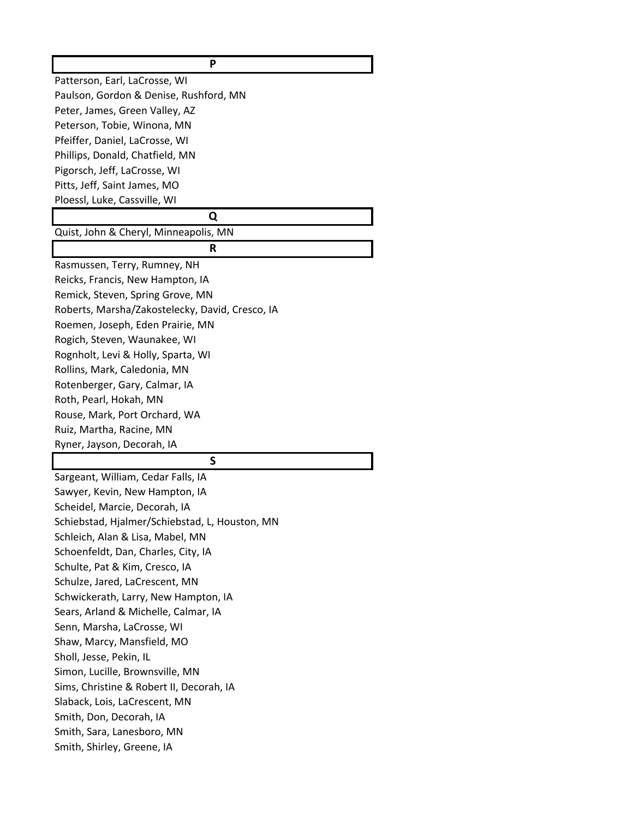| P                                               |
|-------------------------------------------------|
| Patterson, Earl, LaCrosse, WI                   |
| Paulson, Gordon & Denise, Rushford, MN          |
| Peter, James, Green Valley, AZ                  |
| Peterson, Tobie, Winona, MN                     |
| Pfeiffer, Daniel, LaCrosse, WI                  |
| Phillips, Donald, Chatfield, MN                 |
| Pigorsch, Jeff, LaCrosse, WI                    |
| Pitts, Jeff, Saint James, MO                    |
| Ploessl, Luke, Cassville, WI                    |
| Q                                               |
| Quist, John & Cheryl, Minneapolis, MN           |
| R                                               |
| Rasmussen, Terry, Rumney, NH                    |
| Reicks, Francis, New Hampton, IA                |
| Remick, Steven, Spring Grove, MN                |
| Roberts, Marsha/Zakostelecky, David, Cresco, IA |
| Roemen, Joseph, Eden Prairie, MN                |
| Rogich, Steven, Waunakee, WI                    |
| Rognholt, Levi & Holly, Sparta, WI              |
| Rollins, Mark, Caledonia, MN                    |
| Rotenberger, Gary, Calmar, IA                   |
| Roth, Pearl, Hokah, MN                          |
| Rouse, Mark, Port Orchard, WA                   |
| Ruiz, Martha, Racine, MN                        |
| Ryner, Jayson, Decorah, IA                      |
| S                                               |
| Sargeant, William, Cedar Falls, IA              |
| Sawyer, Kevin, New Hampton, IA                  |
| Scheidel, Marcie, Decorah, IA                   |
| Schiebstad, Hjalmer/Schiebstad, L, Houston, MN  |
| Schleich, Alan & Lisa, Mabel, MN                |
| Schoenfeldt, Dan, Charles, City, IA             |
| Schulte, Pat & Kim, Cresco, IA                  |
| Schulze, Jared, LaCrescent, MN                  |
| Schwickerath, Larry, New Hampton, IA            |
| Sears, Arland & Michelle, Calmar, IA            |
| Senn, Marsha, LaCrosse, WI                      |
| Shaw, Marcy, Mansfield, MO                      |
| Sholl, Jesse, Pekin, IL                         |
| Simon, Lucille, Brownsville, MN                 |
| Sims, Christine & Robert II, Decorah, IA        |
| Slaback, Lois, LaCrescent, MN                   |
| Smith, Don, Decorah, IA                         |
| Smith, Sara, Lanesboro, MN                      |
|                                                 |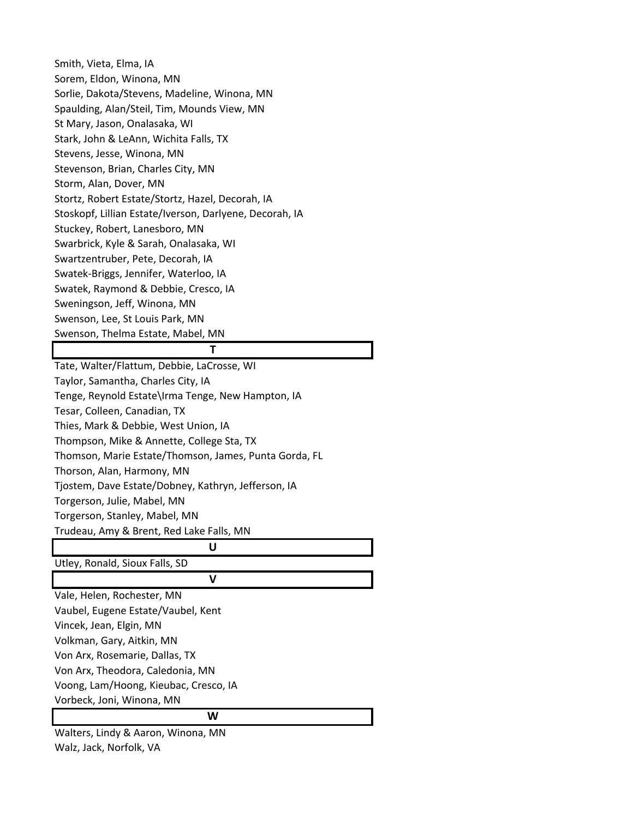Smith, Vieta, Elma, IA Sorem, Eldon, Winona, MN Sorlie, Dakota/Stevens, Madeline, Winona, MN Spaulding, Alan/Steil, Tim, Mounds View, MN St Mary, Jason, Onalasaka, WI Stark, John & LeAnn, Wichita Falls, TX Stevens, Jesse, Winona, MN Stevenson, Brian, Charles City, MN Storm, Alan, Dover, MN Stortz, Robert Estate/Stortz, Hazel, Decorah, IA Stoskopf, Lillian Estate/Iverson, Darlyene, Decorah, IA Stuckey, Robert, Lanesboro, MN Swarbrick, Kyle & Sarah, Onalasaka, WI Swartzentruber, Pete, Decorah, IA Swatek‐Briggs, Jennifer, Waterloo, IA Swatek, Raymond & Debbie, Cresco, IA Sweningson, Jeff, Winona, MN Swenson, Lee, St Louis Park, MN Swenson, Thelma Estate, Mabel, MN

### **T**

Tate, Walter/Flattum, Debbie, LaCrosse, WI Taylor, Samantha, Charles City, IA Tenge, Reynold Estate\Irma Tenge, New Hampton, IA Tesar, Colleen, Canadian, TX Thies, Mark & Debbie, West Union, IA Thompson, Mike & Annette, College Sta, TX Thomson, Marie Estate/Thomson, James, Punta Gorda, FL Thorson, Alan, Harmony, MN Tjostem, Dave Estate/Dobney, Kathryn, Jefferson, IA Torgerson, Julie, Mabel, MN Torgerson, Stanley, Mabel, MN Trudeau, Amy & Brent, Red Lake Falls, MN **U** Utley, Ronald, Sioux Falls, SD **V** Vale, Helen, Rochester, MN Vaubel, Eugene Estate/Vaubel, Kent Vincek, Jean, Elgin, MN Volkman, Gary, Aitkin, MN Von Arx, Rosemarie, Dallas, TX Von Arx, Theodora, Caledonia, MN

Voong, Lam/Hoong, Kieubac, Cresco, IA

Vorbeck, Joni, Winona, MN

**W**

Walters, Lindy & Aaron, Winona, MN Walz, Jack, Norfolk, VA